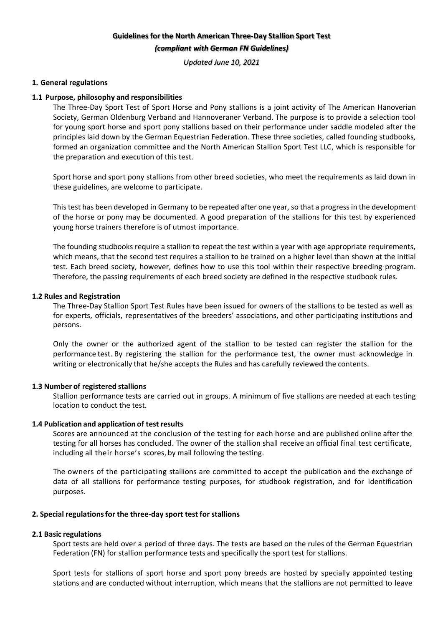# **Guidelines for the North American Three-Day Stallion Sport Test** (compliant with German FN Guidelines)

*Updated June 10, 2021*

## **1. General regulations**

## **1.1 Purpose, philosophy and responsibilities**

The Three-Day Sport Test of Sport Horse and Pony stallions is a joint activity of The American Hanoverian Society, German Oldenburg Verband and Hannoveraner Verband. The purpose is to provide a selection tool for young sport horse and sport pony stallions based on their performance under saddle modeled after the principles laid down by the German Equestrian Federation. These three societies, called founding studbooks, formed an organization committee and the North American Stallion Sport Test LLC, which is responsible for the preparation and execution of this test.

Sport horse and sport pony stallions from other breed societies, who meet the requirements as laid down in these guidelines, are welcome to participate.

This test has been developed in Germany to be repeated after one year, so that a progress in the development of the horse or pony may be documented. A good preparation of the stallions for this test by experienced young horse trainers therefore is of utmost importance.

The founding studbooks require a stallion to repeat the test within a year with age appropriate requirements, which means, that the second test requires a stallion to be trained on a higher level than shown at the initial test. Each breed society, however, defines how to use this tool within their respective breeding program. Therefore, the passing requirements of each breed society are defined in the respective studbook rules.

## **1.2 Rules and Registration**

The Three-Day Stallion Sport Test Rules have been issued for owners of the stallions to be tested as well as for experts, officials, representatives of the breeders' associations, and other participating institutions and persons.

Only the owner or the authorized agent of the stallion to be tested can register the stallion for the performance test. By registering the stallion for the performance test, the owner must acknowledge in writing or electronically that he/she accepts the Rules and has carefully reviewed the contents.

## **1.3 Number of registered stallions**

Stallion performance tests are carried out in groups. A minimum of five stallions are needed at each testing location to conduct the test.

## **1.4 Publication and application of test results**

Scores are announced at the conclusion of the testing for each horse and are published online after the testing for all horses has concluded. The owner of the stallion shall receive an official final test certificate, including all their horse's scores, by mail following the testing.

The owners of the participating stallions are committed to accept the publication and the exchange of data of all stallions for performance testing purposes, for studbook registration, and for identification purposes.

## **2. Special regulationsfor the three-day sport test for stallions**

## **2.1 Basic regulations**

Sport tests are held over a period of three days. The tests are based on the rules of the German Equestrian Federation (FN) for stallion performance tests and specifically the sport test for stallions.

Sport tests for stallions of sport horse and sport pony breeds are hosted by specially appointed testing stations and are conducted without interruption, which means that the stallions are not permitted to leave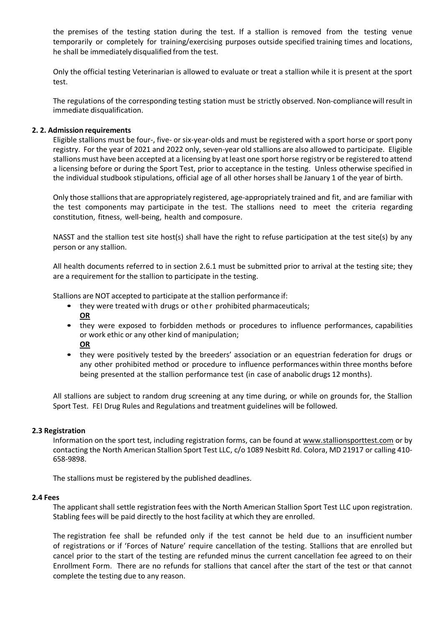the premises of the testing station during the test. If a stallion is removed from the testing venue temporarily or completely for training/exercising purposes outside specified training times and locations, he shall be immediately disqualified from the test.

Only the official testing Veterinarian is allowed to evaluate or treat a stallion while it is present at the sport test.

The regulations of the corresponding testing station must be strictly observed. Non-compliancewill result in immediate disqualification.

## **2. 2. Admission requirements**

Eligible stallions must be four-, five- or six-year-olds and must be registered with a sport horse or sport pony registry. For the year of 2021 and 2022 only, seven-year old stallions are also allowed to participate. Eligible stallions must have been accepted at a licensing by at least one sport horse registry or be registered to attend a licensing before or during the Sport Test, prior to acceptance in the testing. Unless otherwise specified in the individual studbook stipulations, official age of all other horses shall be January 1 of the year of birth.

Only those stallionsthat are appropriately registered, age-appropriately trained and fit, and are familiar with the test components may participate in the test. The stallions need to meet the criteria regarding constitution, fitness, well-being, health and composure.

NASST and the stallion test site host(s) shall have the right to refuse participation at the test site(s) by any person or any stallion.

All health documents referred to in section 2.6.1 must be submitted prior to arrival at the testing site; they are a requirement for the stallion to participate in the testing.

Stallions are NOT accepted to participate at the stallion performance if:

- they were treated with drugs or other prohibited pharmaceuticals; **OR**
- they were exposed to forbidden methods or procedures to influence performances, capabilities or work ethic or any other kind of manipulation; **OR**
- they were positively tested by the breeders' association or an equestrian federation for drugs or any other prohibited method or procedure to influence performances within three months before being presented at the stallion performance test (in case of anabolic drugs 12 months).

All stallions are subject to random drug screening at any time during, or while on grounds for, the Stallion Sport Test. FEI Drug Rules and Regulations and treatment guidelines will be followed.

## **2.3 Registration**

Information on the sport test, including registration forms, can be found at www.stallionsporttest.com or by contacting the North American Stallion Sport Test LLC, c/o 1089 Nesbitt Rd. Colora, MD 21917 or calling 410- 658-9898.

The stallions must be registered by the published deadlines.

## **2.4 Fees**

The applicant shall settle registration fees with the North American Stallion Sport Test LLC upon registration. Stabling fees will be paid directly to the host facility at which they are enrolled.

The registration fee shall be refunded only if the test cannot be held due to an insufficient number of registrations or if 'Forces of Nature' require cancellation of the testing. Stallions that are enrolled but cancel prior to the start of the testing are refunded minus the current cancellation fee agreed to on their Enrollment Form. There are no refunds for stallions that cancel after the start of the test or that cannot complete the testing due to any reason.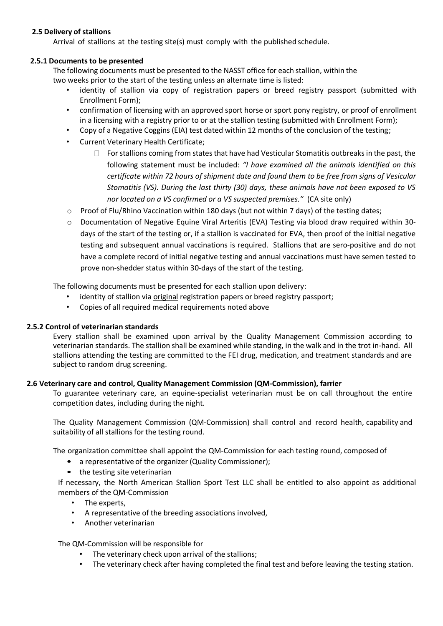# **2.5 Delivery of stallions**

Arrival of stallions at the testing site(s) must comply with the published schedule.

# **2.5.1 Documents to be presented**

The following documents must be presented to the NASST office for each stallion, within the two weeks prior to the start of the testing unless an alternate time is listed:

- identity of stallion via copy of registration papers or breed registry passport (submitted with Enrollment Form);
- confirmation of licensing with an approved sport horse or sport pony registry, or proof of enrollment in a licensing with a registry prior to or at the stallion testing (submitted with Enrollment Form);
- Copy of a Negative Coggins (EIA) test dated within 12 months of the conclusion of the testing;
- Current Veterinary Health Certificate;
	- $\Box$  For stallions coming from states that have had Vesticular Stomatitis outbreaks in the past, the following statement must be included: *"I have examined all the animals identified on this certificate within 72 hours of shipment date and found them to be free from signs of Vesicular Stomatitis (VS). During the last thirty (30) days, these animals have not been exposed to VS nor located on a VS confirmed or a VS suspected premises."* (CA site only)
- $\circ$  Proof of Flu/Rhino Vaccination within 180 days (but not within 7 days) of the testing dates;
- o Documentation of Negative Equine Viral Arteritis (EVA) Testing via blood draw required within 30 days of the start of the testing or, if a stallion is vaccinated for EVA, then proof of the initial negative testing and subsequent annual vaccinations is required. Stallions that are sero-positive and do not have a complete record of initial negative testing and annual vaccinations must have semen tested to prove non-shedder status within 30-days of the start of the testing.

The following documents must be presented for each stallion upon delivery:

- identity of stallion via original registration papers or breed registry passport;
- Copies of all required medical requirements noted above

## **2.5.2 Control of veterinarian standards**

Every stallion shall be examined upon arrival by the Quality Management Commission according to veterinarian standards. The stallion shall be examined while standing, in the walk and in the trot in-hand. All stallions attending the testing are committed to the FEI drug, medication, and treatment standards and are subject to random drug screening.

## **2.6 Veterinary care and control, Quality Management Commission (QM-Commission), farrier**

To guarantee veterinary care, an equine-specialist veterinarian must be on call throughout the entire competition dates, including during the night.

The Quality Management Commission (QM-Commission) shall control and record health, capability and suitability of all stallions for the testing round.

The organization committee shall appoint the QM-Commission for each testing round, composed of

- a representative of the organizer (Quality Commissioner);
- the testing site veterinarian

If necessary, the North American Stallion Sport Test LLC shall be entitled to also appoint as additional members of the QM-Commission

- The experts,
- A representative of the breeding associations involved,
- Another veterinarian

The QM-Commission will be responsible for

- The veterinary check upon arrival of the stallions;
- The veterinary check after having completed the final test and before leaving the testing station.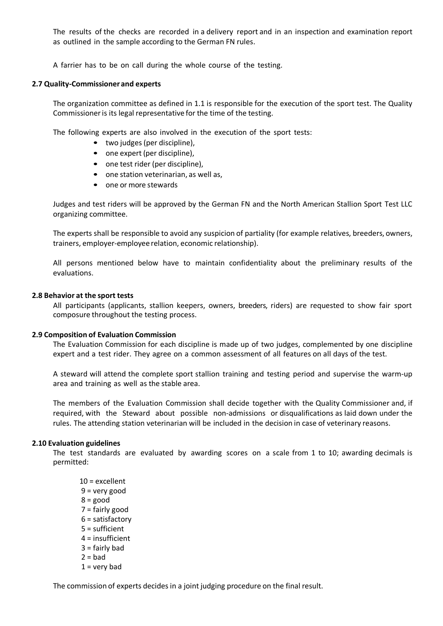The results of the checks are recorded in a delivery report and in an inspection and examination report as outlined in the sample according to the German FN rules.

A farrier has to be on call during the whole course of the testing.

#### **2.7 Quality-Commissioner and experts**

The organization committee as defined in 1.1 is responsible for the execution of the sport test. The Quality Commissioner is its legal representative for the time of the testing.

The following experts are also involved in the execution of the sport tests:

- two judges (per discipline),
- one expert (per discipline),
- one test rider (per discipline),
- one station veterinarian, as well as,
- one or more stewards

Judges and test riders will be approved by the German FN and the North American Stallion Sport Test LLC organizing committee.

The experts shall be responsible to avoid any suspicion of partiality (for example relatives, breeders, owners, trainers, employer-employee relation, economic relationship).

All persons mentioned below have to maintain confidentiality about the preliminary results of the evaluations.

#### **2.8 Behavior at the sport tests**

All participants (applicants, stallion keepers, owners, breeders, riders) are requested to show fair sport composure throughout the testing process.

#### **2.9 Composition of Evaluation Commission**

The Evaluation Commission for each discipline is made up of two judges, complemented by one discipline expert and a test rider. They agree on a common assessment of all features on all days of the test.

A steward will attend the complete sport stallion training and testing period and supervise the warm-up area and training as well as the stable area.

The members of the Evaluation Commission shall decide together with the Quality Commissioner and, if required, with the Steward about possible non-admissions or disqualifications as laid down under the rules. The attending station veterinarian will be included in the decision in case of veterinary reasons.

## **2.10 Evaluation guidelines**

The test standards are evaluated by awarding scores on a scale from 1 to 10; awarding decimals is permitted:

10 = excellent 9 = very good  $8 = good$ 7 = fairly good 6 = satisfactory 5 = sufficient 4 = insufficient  $3 =$  fairly bad  $2 = bad$  $1 =$  very bad

The commission of experts decides in a joint judging procedure on the final result.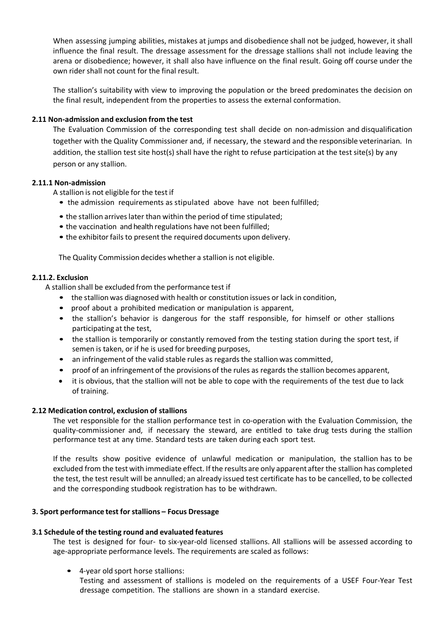When assessing jumping abilities, mistakes at jumps and disobedience shall not be judged, however, it shall influence the final result. The dressage assessment for the dressage stallions shall not include leaving the arena or disobedience; however, it shall also have influence on the final result. Going off course under the own rider shall not count for the final result.

The stallion's suitability with view to improving the population or the breed predominates the decision on the final result, independent from the properties to assess the external conformation.

# **2.11 Non-admission and exclusion from the test**

The Evaluation Commission of the corresponding test shall decide on non-admission and disqualification together with the Quality Commissioner and, if necessary, the steward and the responsible veterinarian. In addition, the stallion test site host(s) shall have the right to refuse participation at the test site(s) by any person or any stallion.

# **2.11.1 Non-admission**

A stallion is not eligible for the test if

- the admission requirements as stipulated above have not been fulfilled;
- the stallion arrives later than within the period of time stipulated;
- the vaccination and health regulations have not been fulfilled;
- the exhibitor fails to present the required documents upon delivery.

The Quality Commission decides whether a stallion is not eligible.

## **2.11.2. Exclusion**

A stallion shall be excluded from the performance test if

- the stallion was diagnosed with health or constitution issues or lack in condition,
- proof about a prohibited medication or manipulation is apparent,
- the stallion's behavior is dangerous for the staff responsible, for himself or other stallions participating at the test,
- the stallion is temporarily or constantly removed from the testing station during the sport test, if semen is taken, or if he is used for breeding purposes,
- an infringement of the valid stable rules as regards the stallion was committed,
- proof of an infringement of the provisions of the rules as regards the stallion becomes apparent,
- it is obvious, that the stallion will not be able to cope with the requirements of the test due to lack of training.

## **2.12 Medication control, exclusion of stallions**

The vet responsible for the stallion performance test in co-operation with the Evaluation Commission, the quality-commissioner and, if necessary the steward, are entitled to take drug tests during the stallion performance test at any time. Standard tests are taken during each sport test.

If the results show positive evidence of unlawful medication or manipulation, the stallion has to be excluded from the test with immediate effect. If the results are only apparent after the stallion has completed the test, the test result will be annulled; an already issued test certificate has to be cancelled, to be collected and the corresponding studbook registration has to be withdrawn.

## **3. Sport performance test forstallions – Focus Dressage**

# **3.1 Schedule of the testing round and evaluated features**

The test is designed for four- to six-year-old licensed stallions. All stallions will be assessed according to age-appropriate performance levels. The requirements are scaled as follows:

• 4-year old sport horse stallions:

Testing and assessment of stallions is modeled on the requirements of a USEF Four-Year Test dressage competition. The stallions are shown in a standard exercise.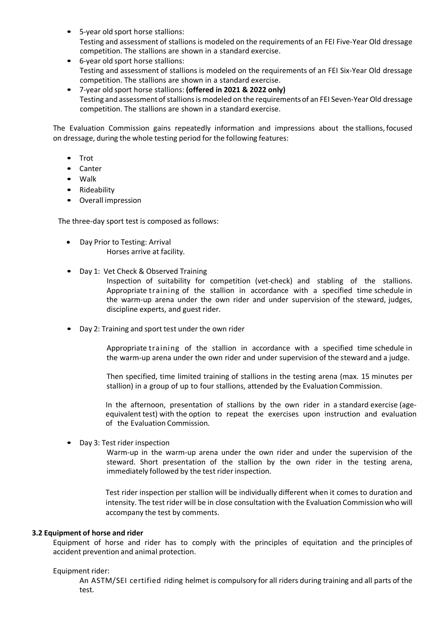- 5-year old sport horse stallions: Testing and assessment of stallions is modeled on the requirements of an FEI Five-Year Old dressage competition. The stallions are shown in a standard exercise.
- 6-year old sport horse stallions: Testing and assessment of stallions is modeled on the requirements of an FEI Six-Year Old dressage competition. The stallions are shown in a standard exercise.
- 7-year old sport horse stallions: **(offered in 2021 & 2022 only)** Testing and assessmentof stallionsis modeled on the requirements of an FEI Seven-Year Old dressage competition. The stallions are shown in a standard exercise.

The Evaluation Commission gains repeatedly information and impressions about the stallions, focused on dressage, during the whole testing period for the following features:

- Trot
- Canter
- Walk
- Rideability
- Overall impression

The three-day sport test is composed as follows:

- Day Prior to Testing: Arrival Horses arrive at facility.
- Day 1: Vet Check & Observed Training

Inspection of suitability for competition (vet-check) and stabling of the stallions. Appropriate training of the stallion in accordance with a specified time schedule in the warm-up arena under the own rider and under supervision of the steward, judges, discipline experts, and guest rider.

• Day 2: Training and sport test under the own rider

Appropriate training of the stallion in accordance with a specified time schedule in the warm-up arena under the own rider and under supervision of the steward and a judge.

Then specified, time limited training of stallions in the testing arena (max. 15 minutes per stallion) in a group of up to four stallions, attended by the Evaluation Commission.

In the afternoon, presentation of stallions by the own rider in a standard exercise (ageequivalent test) with the option to repeat the exercises upon instruction and evaluation of the Evaluation Commission.

• Day 3: Test rider inspection

Warm-up in the warm-up arena under the own rider and under the supervision of the steward. Short presentation of the stallion by the own rider in the testing arena, immediately followed by the test rider inspection.

Test rider inspection per stallion will be individually different when it comes to duration and intensity. The test rider will be in close consultation with the Evaluation Commission who will accompany the test by comments.

## **3.2 Equipment of horse and rider**

Equipment of horse and rider has to comply with the principles of equitation and the principles of accident prevention and animal protection.

## Equipment rider:

An ASTM/SEI certified riding helmet is compulsory for all riders during training and all parts of the test.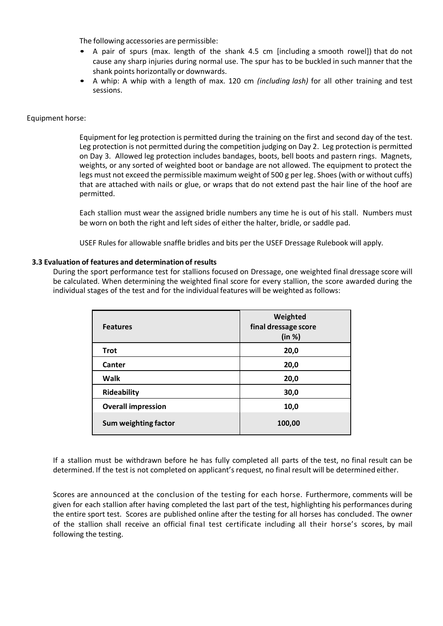The following accessories are permissible:

- A pair of spurs (max. length of the shank 4.5 cm [including a smooth rowel]) that do not cause any sharp injuries during normal use. The spur has to be buckled in such manner that the shank points horizontally or downwards.
- A whip: A whip with a length of max. 120 cm *(including lash)* for all other training and test sessions.

## Equipment horse:

Equipment for leg protection is permitted during the training on the first and second day of the test. Leg protection is not permitted during the competition judging on Day 2. Leg protection is permitted on Day 3. Allowed leg protection includes bandages, boots, bell boots and pastern rings. Magnets, weights, or any sorted of weighted boot or bandage are not allowed. The equipment to protect the legs must not exceed the permissible maximum weight of 500 g per leg. Shoes (with or without cuffs) that are attached with nails or glue, or wraps that do not extend past the hair line of the hoof are permitted.

Each stallion must wear the assigned bridle numbers any time he is out of his stall. Numbers must be worn on both the right and left sides of either the halter, bridle, or saddle pad.

USEF Rules for allowable snaffle bridles and bits per the USEF Dressage Rulebook will apply.

# **3.3 Evaluation of features and determination of results**

During the sport performance test for stallions focused on Dressage, one weighted final dressage score will be calculated. When determining the weighted final score for every stallion, the score awarded during the individual stages of the test and for the individual features will be weighted as follows:

| <b>Features</b>           | Weighted<br>final dressage score<br>(in %) |
|---------------------------|--------------------------------------------|
| <b>Trot</b>               | 20,0                                       |
| Canter                    | 20,0                                       |
| <b>Walk</b>               | 20,0                                       |
| Rideability               | 30,0                                       |
| <b>Overall impression</b> | 10,0                                       |
| Sum weighting factor      | 100,00                                     |

If a stallion must be withdrawn before he has fully completed all parts of the test, no final result can be determined. If the test is not completed on applicant's request, no final result will be determined either.

Scores are announced at the conclusion of the testing for each horse. Furthermore, comments will be given for each stallion after having completed the last part of the test, highlighting his performances during the entire sport test. Scores are published online after the testing for all horses has concluded. The owner of the stallion shall receive an official final test certificate including all their horse's scores, by mail following the testing.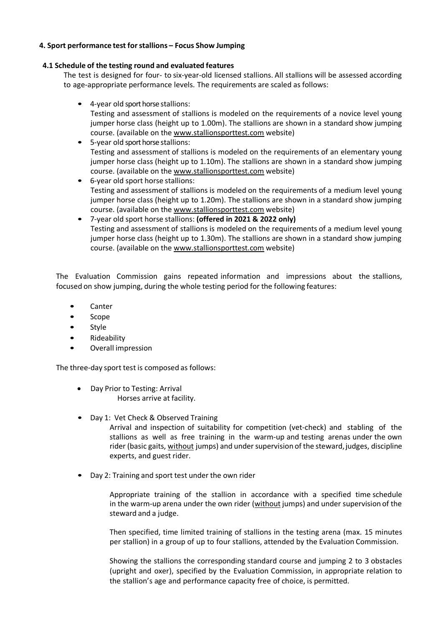# **4. Sport performance test forstallions – Focus Show Jumping**

## **4.1 Schedule of the testing round and evaluated features**

The test is designed for four- to six-year-old licensed stallions. All stallions will be assessed according to age-appropriate performance levels. The requirements are scaled as follows:

- 4-year old sport horse stallions: Testing and assessment of stallions is modeled on the requirements of a novice level young jumper horse class (height up to 1.00m). The stallions are shown in a standard show jumping course. (available on the www.stallionsporttest.com website)
- 5-year old sport horse stallions: Testing and assessment of stallions is modeled on the requirements of an elementary young jumper horse class (height up to 1.10m). The stallions are shown in a standard show jumping course. (available on the www.stallionsporttest.com website)
- 6-year old sport horse stallions: Testing and assessment of stallions is modeled on the requirements of a medium level young jumper horse class (height up to 1.20m). The stallions are shown in a standard show jumping course. (available on the www.stallionsporttest.com website)
- 7-year old sport horse stallions: **(offered in 2021 & 2022 only)** Testing and assessment of stallions is modeled on the requirements of a medium level young jumper horse class (height up to 1.30m). The stallions are shown in a standard show jumping course. (available on the www.stallionsporttest.com website)

The Evaluation Commission gains repeated information and impressions about the stallions, focused on show jumping, during the whole testing period for the following features:

- Canter
- Scope
- Style
- Rideability
- Overall impression

The three-day sport test is composed as follows:

- Day Prior to Testing: Arrival Horses arrive at facility.
- Day 1: Vet Check & Observed Training

Arrival and inspection of suitability for competition (vet-check) and stabling of the stallions as well as free training in the warm-up and testing arenas under the own rider (basic gaits, without jumps) and undersupervision of the steward, judges, discipline experts, and guest rider.

• Day 2: Training and sport test under the own rider

Appropriate training of the stallion in accordance with a specified time schedule in the warm-up arena under the own rider (without jumps) and under supervision of the steward and a judge.

Then specified, time limited training of stallions in the testing arena (max. 15 minutes per stallion) in a group of up to four stallions, attended by the Evaluation Commission.

Showing the stallions the corresponding standard course and jumping 2 to 3 obstacles (upright and oxer), specified by the Evaluation Commission, in appropriate relation to the stallion's age and performance capacity free of choice, is permitted.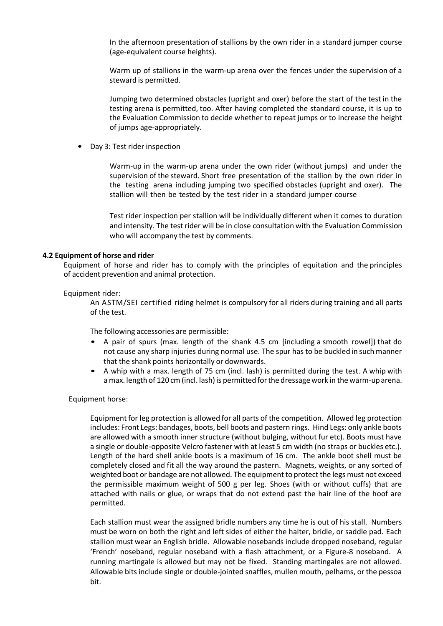In the afternoon presentation of stallions by the own rider in a standard jumper course (age-equivalent course heights).

Warm up of stallions in the warm-up arena over the fences under the supervision of a steward is permitted.

Jumping two determined obstacles (upright and oxer) before the start of the test in the testing arena is permitted, too. After having completed the standard course, it is up to the Evaluation Commission to decide whether to repeat jumps or to increase the height of jumps age-appropriately.

• Day 3: Test rider inspection

Warm-up in the warm-up arena under the own rider (without jumps) and under the supervision of the steward. Short free presentation of the stallion by the own rider in the testing arena including jumping two specified obstacles (upright and oxer). The stallion will then be tested by the test rider in a standard jumper course

Test rider inspection per stallion will be individually different when it comes to duration and intensity. The test rider will be in close consultation with the Evaluation Commission who will accompany the test by comments.

#### **4.2 Equipment of horse and rider**

Equipment of horse and rider has to comply with the principles of equitation and the principles of accident prevention and animal protection.

#### Equipment rider:

An ASTM/SEI certified riding helmet is compulsory for all riders during training and all parts of the test.

The following accessories are permissible:

- A pair of spurs (max. length of the shank 4.5 cm [including a smooth rowel]) that do not cause any sharp injuries during normal use. The spur has to be buckled in such manner that the shank points horizontally or downwards.
- A whip with a max. length of 75 cm (incl. lash) is permitted during the test. A whip with a max. length of 120 cm (incl. lash) is permitted for the dressage work in the warm-up arena.

#### Equipment horse:

Equipment for leg protection is allowed for all parts of the competition. Allowed leg protection includes: Front Legs: bandages, boots, bell boots and pastern rings. Hind Legs: only ankle boots are allowed with a smooth inner structure (without bulging, without fur etc). Boots must have a single or double-opposite Velcro fastener with at least 5 cm width (no straps or buckles etc.). Length of the hard shell ankle boots is a maximum of 16 cm. The ankle boot shell must be completely closed and fit all the way around the pastern. Magnets, weights, or any sorted of weighted boot or bandage are not allowed. The equipment to protect the legs must not exceed the permissible maximum weight of 500 g per leg. Shoes (with or without cuffs) that are attached with nails or glue, or wraps that do not extend past the hair line of the hoof are permitted.

Each stallion must wear the assigned bridle numbers any time he is out of his stall. Numbers must be worn on both the right and left sides of either the halter, bridle, or saddle pad. Each stallion must wear an English bridle. Allowable nosebands include dropped noseband, regular 'French' noseband, regular noseband with a flash attachment, or a Figure-8 noseband. A running martingale is allowed but may not be fixed. Standing martingales are not allowed. Allowable bits include single or double-jointed snaffles, mullen mouth, pelhams, or the pessoa bit.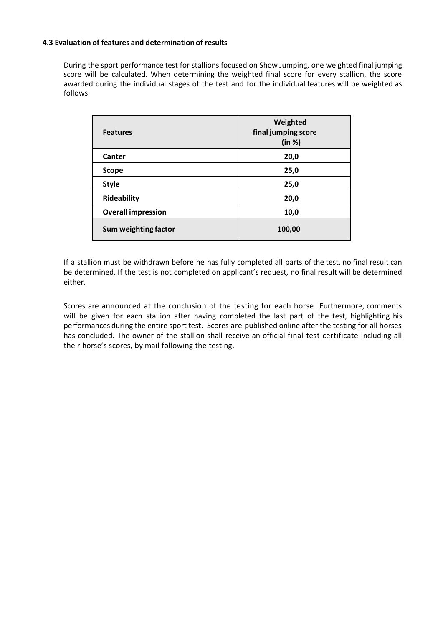## **4.3 Evaluation of features and determination of results**

During the sport performance test for stallions focused on Show Jumping, one weighted final jumping score will be calculated. When determining the weighted final score for every stallion, the score awarded during the individual stages of the test and for the individual features will be weighted as follows:

| <b>Features</b>           | Weighted<br>final jumping score<br>(in %) |
|---------------------------|-------------------------------------------|
| Canter                    | 20,0                                      |
| <b>Scope</b>              | 25,0                                      |
| <b>Style</b>              | 25,0                                      |
| Rideability               | 20,0                                      |
| <b>Overall impression</b> | 10,0                                      |
| Sum weighting factor      | 100,00                                    |

If a stallion must be withdrawn before he has fully completed all parts of the test, no final result can be determined. If the test is not completed on applicant's request, no final result will be determined either.

Scores are announced at the conclusion of the testing for each horse. Furthermore, comments will be given for each stallion after having completed the last part of the test, highlighting his performances during the entire sport test. Scores are published online after the testing for all horses has concluded. The owner of the stallion shall receive an official final test certificate including all their horse's scores, by mail following the testing.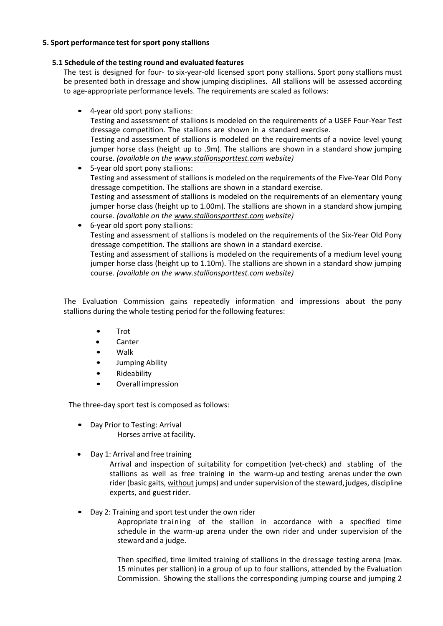# **5. Sport performance test for sport pony stallions**

# **5.1 Schedule of the testing round and evaluated features**

The test is designed for four- to six-year-old licensed sport pony stallions. Sport pony stallions must be presented both in dressage and show jumping disciplines. All stallions will be assessed according to age-appropriate performance levels. The requirements are scaled as follows:

- 4-year old sport pony stallions: Testing and assessment of stallions is modeled on the requirements of a USEF Four-Year Test dressage competition. The stallions are shown in a standard exercise. Testing and assessment of stallions is modeled on the requirements of a novice level young jumper horse class (height up to .9m). The stallions are shown in a standard show jumping course. *(available on the www.stallionsporttest.com website)*
- 5-year old sport pony stallions: Testing and assessment of stallions is modeled on the requirements of the Five-Year Old Pony dressage competition. The stallions are shown in a standard exercise. Testing and assessment of stallions is modeled on the requirements of an elementary young jumper horse class (height up to 1.00m). The stallions are shown in a standard show jumping course. *(available on the www.stallionsporttest.com website)*
- 6-year old sport pony stallions: Testing and assessment of stallions is modeled on the requirements of the Six-Year Old Pony dressage competition. The stallions are shown in a standard exercise.

Testing and assessment of stallions is modeled on the requirements of a medium level young jumper horse class (height up to 1.10m). The stallions are shown in a standard show jumping course. *(available on the www.stallionsporttest.com website)*

The Evaluation Commission gains repeatedly information and impressions about the pony stallions during the whole testing period for the following features:

- Trot
- **Canter**
- Walk
- Jumping Ability
- Rideability
- Overall impression

The three-day sport test is composed as follows:

- Day Prior to Testing: Arrival Horses arrive at facility.
- Day 1: Arrival and free training

Arrival and inspection of suitability for competition (vet-check) and stabling of the stallions as well as free training in the warm-up and testing arenas under the own rider (basic gaits, without jumps) and under supervision of the steward, judges, discipline experts, and guest rider.

• Day 2: Training and sport test under the own rider

Appropriate training of the stallion in accordance with a specified time schedule in the warm-up arena under the own rider and under supervision of the steward and a judge.

Then specified, time limited training of stallions in the dressage testing arena (max. 15 minutes per stallion) in a group of up to four stallions, attended by the Evaluation Commission. Showing the stallions the corresponding jumping course and jumping 2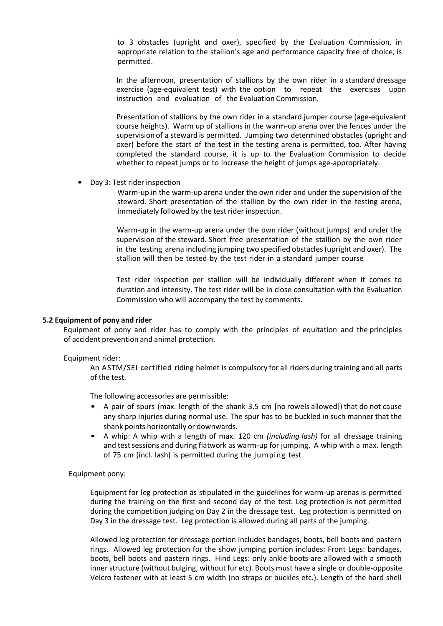to 3 obstacles (upright and oxer), specified by the Evaluation Commission, in appropriate relation to the stallion's age and performance capacity free of choice, is permitted.

In the afternoon, presentation of stallions by the own rider in a standard dressage exercise (age-equivalent test) with the option to repeat the exercises upon instruction and evaluation of the Evaluation Commission.

Presentation of stallions by the own rider in a standard jumper course (age-equivalent course heights). Warm up of stallions in the warm-up arena over the fences under the supervision of a steward is permitted. Jumping two determined obstacles (upright and oxer) before the start of the test in the testing arena is permitted, too. After having completed the standard course, it is up to the Evaluation Commission to decide whether to repeat jumps or to increase the height of jumps age-appropriately.

• Day 3: Test rider inspection

Warm-up in the warm-up arena under the own rider and under the supervision of the steward. Short presentation of the stallion by the own rider in the testing arena, immediately followed by the test rider inspection.

Warm-up in the warm-up arena under the own rider (without jumps) and under the supervision of the steward. Short free presentation of the stallion by the own rider in the testing arena including jumping two specified obstacles(upright and oxer). The stallion will then be tested by the test rider in a standard jumper course

Test rider inspection per stallion will be individually different when it comes to duration and intensity. The test rider will be in close consultation with the Evaluation Commission who will accompany the test by comments.

#### **5.2 Equipment of pony and rider**

Equipment of pony and rider has to comply with the principles of equitation and the principles of accident prevention and animal protection.

#### Equipment rider:

An ASTM/SEI certified riding helmet is compulsory for all riders during training and all parts of the test.

The following accessories are permissible:

- A pair of spurs (max. length of the shank 3.5 cm [no rowels allowed]) that do not cause any sharp injuries during normal use. The spur has to be buckled in such manner that the shank points horizontally or downwards.
- A whip: A whip with a length of max. 120 cm *(including lash)* for all dressage training and testsessions and during flatwork as warm-up for jumping. A whip with a max. length of 75 cm (incl. lash) is permitted during the jumping test.

#### Equipment pony:

Equipment for leg protection as stipulated in the guidelines for warm-up arenas is permitted during the training on the first and second day of the test. Leg protection is not permitted during the competition judging on Day 2 in the dressage test. Leg protection is permitted on Day 3 in the dressage test. Leg protection is allowed during all parts of the jumping.

Allowed leg protection for dressage portion includes bandages, boots, bell boots and pastern rings. Allowed leg protection for the show jumping portion includes: Front Legs: bandages, boots, bell boots and pastern rings. Hind Legs: only ankle boots are allowed with a smooth inner structure (without bulging, without fur etc). Boots must have a single or double-opposite Velcro fastener with at least 5 cm width (no straps or buckles etc.). Length of the hard shell